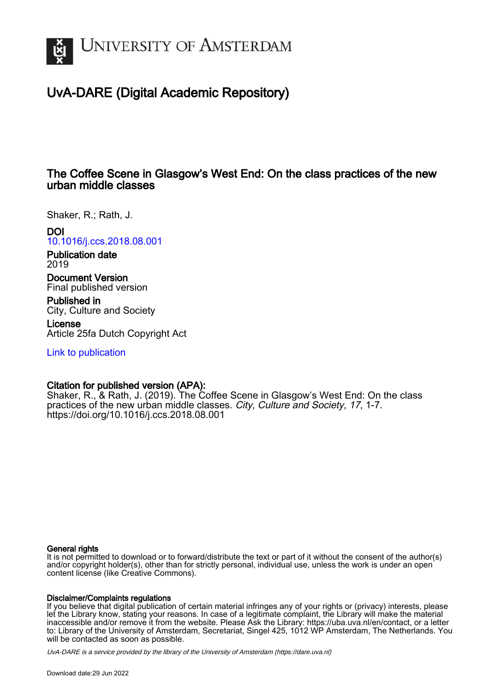

# UvA-DARE (Digital Academic Repository)

## The Coffee Scene in Glasgow's West End: On the class practices of the new urban middle classes

Shaker, R.; Rath, J.

DOI

[10.1016/j.ccs.2018.08.001](https://doi.org/10.1016/j.ccs.2018.08.001)

Publication date 2019

Document Version Final published version

Published in City, Culture and Society

License Article 25fa Dutch Copyright Act

[Link to publication](https://dare.uva.nl/personal/pure/en/publications/the-coffee-scene-in-glasgows-west-end-on-the-class-practices-of-the-new-urban-middle-classes(41de3294-ad58-4ff9-aa5d-77fbd9fe0083).html)

### Citation for published version (APA):

Shaker, R., & Rath, J. (2019). The Coffee Scene in Glasgow's West End: On the class practices of the new urban middle classes. City, Culture and Society, 17, 1-7. <https://doi.org/10.1016/j.ccs.2018.08.001>

### General rights

It is not permitted to download or to forward/distribute the text or part of it without the consent of the author(s) and/or copyright holder(s), other than for strictly personal, individual use, unless the work is under an open content license (like Creative Commons).

### Disclaimer/Complaints regulations

If you believe that digital publication of certain material infringes any of your rights or (privacy) interests, please let the Library know, stating your reasons. In case of a legitimate complaint, the Library will make the material inaccessible and/or remove it from the website. Please Ask the Library: https://uba.uva.nl/en/contact, or a letter to: Library of the University of Amsterdam, Secretariat, Singel 425, 1012 WP Amsterdam, The Netherlands. You will be contacted as soon as possible.

UvA-DARE is a service provided by the library of the University of Amsterdam (http*s*://dare.uva.nl)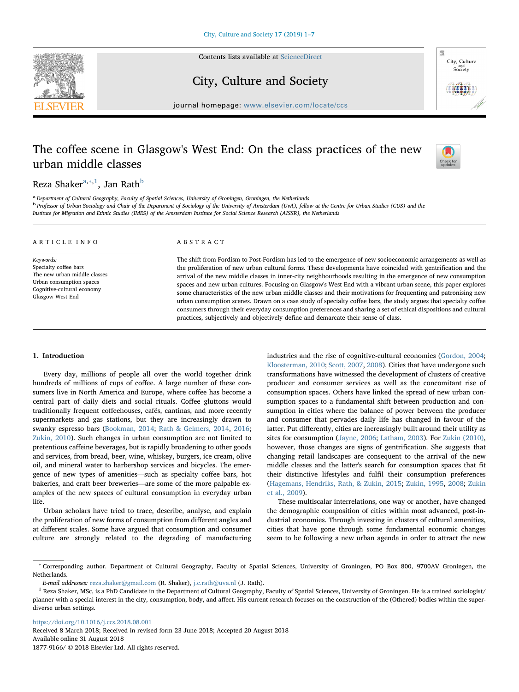

Contents lists available at [ScienceDirect](http://www.sciencedirect.com/science/journal/18779166)

### City, Culture and Society



 $j<sub>i</sub>$  and  $k<sub>i</sub>$  homepage: [www.elsevier.com/locate/ccs](https://www.elsevier.com/locate/ccs)servier.com/locate/ccsservier.com/locate/ccsservier.com/locate/ccsservier.com/locate/ccsservier.com/locate/ccsservier.com/locate/ccsservier.com/locate/ccsservie

## The coffee scene in Glasgow's West End: On the class practices of the new urban middle classes



Rez[a](#page-1-0) Shaker<sup>a,[∗](#page-1-1),[1](#page-1-2)</sup>, Jan Rath<sup>[b](#page-1-3)</sup>

<span id="page-1-3"></span><span id="page-1-0"></span>a Department of Cultural Geography, Faculty of Spatial Sciences, University of Groningen, Groningen, the Netherlands <sup>b</sup> Professor of Urban Sociology and Chair of the Department of Sociology of the University of Amsterdam (UvA), fellow at the Centre for Urban Studies (CUS) and the Institute for Migration and Ethnic Studies (IMES) of the Amsterdam Institute for Social Science Research (AISSR), the Netherlands

#### ARTICLE INFO

Keywords: Specialty coffee bars The new urban middle classes Urban consumption spaces Cognitive-cultural economy Glasgow West End

#### ABSTRACT

The shift from Fordism to Post-Fordism has led to the emergence of new socioeconomic arrangements as well as the proliferation of new urban cultural forms. These developments have coincided with gentrification and the arrival of the new middle classes in inner-city neighbourhoods resulting in the emergence of new consumption spaces and new urban cultures. Focusing on Glasgow's West End with a vibrant urban scene, this paper explores some characteristics of the new urban middle classes and their motivations for frequenting and patronising new urban consumption scenes. Drawn on a case study of specialty coffee bars, the study argues that specialty coffee consumers through their everyday consumption preferences and sharing a set of ethical dispositions and cultural practices, subjectively and objectively define and demarcate their sense of class.

#### 1. Introduction

Every day, millions of people all over the world together drink hundreds of millions of cups of coffee. A large number of these consumers live in North America and Europe, where coffee has become a central part of daily diets and social rituals. Coffee gluttons would traditionally frequent coffeehouses, cafés, cantinas, and more recently supermarkets and gas stations, but they are increasingly drawn to swanky espresso bars ([Bookman, 2014](#page-6-0); [Rath & Gelmers, 2014](#page-7-0), [2016](#page-7-1); [Zukin, 2010](#page-7-2)). Such changes in urban consumption are not limited to pretentious caffeine beverages, but is rapidly broadening to other goods and services, from bread, beer, wine, whiskey, burgers, ice cream, olive oil, and mineral water to barbershop services and bicycles. The emergence of new types of amenities—such as specialty coffee bars, hot bakeries, and craft beer breweries—are some of the more palpable examples of the new spaces of cultural consumption in everyday urban life.

Urban scholars have tried to trace, describe, analyse, and explain the proliferation of new forms of consumption from different angles and at different scales. Some have argued that consumption and consumer culture are strongly related to the degrading of manufacturing industries and the rise of cognitive-cultural economies [\(Gordon, 2004](#page-7-3); [Kloosterman, 2010](#page-7-4); [Scott, 2007,](#page-7-5) [2008\)](#page-7-6). Cities that have undergone such transformations have witnessed the development of clusters of creative producer and consumer services as well as the concomitant rise of consumption spaces. Others have linked the spread of new urban consumption spaces to a fundamental shift between production and consumption in cities where the balance of power between the producer and consumer that pervades daily life has changed in favour of the latter. Put differently, cities are increasingly built around their utility as sites for consumption ([Jayne, 2006](#page-7-7); [Latham, 2003](#page-7-8)). For [Zukin \(2010\)](#page-7-2), however, those changes are signs of gentrification. She suggests that changing retail landscapes are consequent to the arrival of the new middle classes and the latter's search for consumption spaces that fit their distinctive lifestyles and fulfil their consumption preferences ([Hagemans, Hendriks, Rath, & Zukin, 2015](#page-7-9); [Zukin, 1995](#page-7-10), [2008](#page-7-11); [Zukin](#page-7-12) [et al., 2009](#page-7-12)).

These multiscalar interrelations, one way or another, have changed the demographic composition of cities within most advanced, post-industrial economies. Through investing in clusters of cultural amenities, cities that have gone through some fundamental economic changes seem to be following a new urban agenda in order to attract the new

<https://doi.org/10.1016/j.ccs.2018.08.001>

Received 8 March 2018; Received in revised form 23 June 2018; Accepted 20 August 2018 Available online 31 August 2018 1877-9166/ © 2018 Elsevier Ltd. All rights reserved.

<span id="page-1-1"></span><sup>∗</sup> Corresponding author. Department of Cultural Geography, Faculty of Spatial Sciences, University of Groningen, PO Box 800, 9700AV Groningen, the Netherlands.

E-mail addresses: [reza.shaker@gmail.com](mailto:reza.shaker@gmail.com) (R. Shaker), [j.c.rath@uva.nl](mailto:j.c.rath@uva.nl) (J. Rath).

<span id="page-1-2"></span> $1$  Reza Shaker, MSc, is a PhD Candidate in the Department of Cultural Geography, Faculty of Spatial Sciences, University of Groningen. He is a trained sociologist/ planner with a special interest in the city, consumption, body, and affect. His current research focuses on the construction of the (Othered) bodies within the superdiverse urban settings.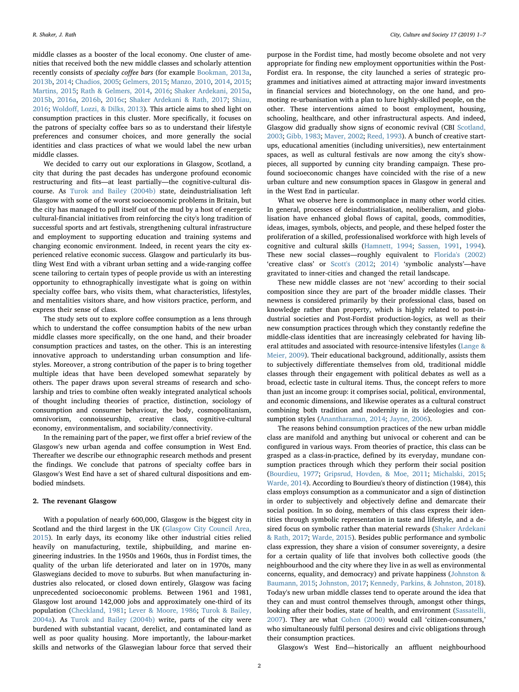middle classes as a booster of the local economy. One cluster of amenities that received both the new middle classes and scholarly attention recently consists of specialty coffee bars (for example [Bookman, 2013a](#page-6-1), [2013b,](#page-6-2) [2014](#page-6-0); [Chadios, 2005;](#page-6-3) [Gelmers, 2015;](#page-7-13) [Manzo, 2010](#page-7-14), [2014](#page-7-15), [2015](#page-7-16); [Martins, 2015;](#page-7-17) [Rath & Gelmers, 2014](#page-7-0), [2016](#page-7-1); [Shaker Ardekani, 2015a](#page-7-18), [2015b,](#page-7-19) [2016a,](#page-7-20) [2016b,](#page-7-21) [2016c](#page-7-22); [Shaker Ardekani & Rath, 2017](#page-7-23); [Shiau,](#page-7-24) [2016;](#page-7-24) Woldoff[, Lozzi, & Dilks, 2013](#page-7-25)). This article aims to shed light on consumption practices in this cluster. More specifically, it focuses on the patrons of specialty coffee bars so as to understand their lifestyle preferences and consumer choices, and more generally the social identities and class practices of what we would label the new urban middle classes.

We decided to carry out our explorations in Glasgow, Scotland, a city that during the past decades has undergone profound economic restructuring and fits—at least partially—the cognitive-cultural discourse. As [Turok and Bailey \(2004b\)](#page-7-26) state, deindustrialisation left Glasgow with some of the worst socioeconomic problems in Britain, but the city has managed to pull itself out of the mud by a host of energetic cultural-financial initiatives from reinforcing the city's long tradition of successful sports and art festivals, strengthening cultural infrastructure and employment to supporting education and training systems and changing economic environment. Indeed, in recent years the city experienced relative economic success. Glasgow and particularly its bustling West End with a vibrant urban setting and a wide-ranging coffee scene tailoring to certain types of people provide us with an interesting opportunity to ethnographically investigate what is going on within specialty coffee bars, who visits them, what characteristics, lifestyles, and mentalities visitors share, and how visitors practice, perform, and express their sense of class.

The study sets out to explore coffee consumption as a lens through which to understand the coffee consumption habits of the new urban middle classes more specifically, on the one hand, and their broader consumption practices and tastes, on the other. This is an interesting innovative approach to understanding urban consumption and lifestyles. Moreover, a strong contribution of the paper is to bring together multiple ideas that have been developed somewhat separately by others. The paper draws upon several streams of research and scholarship and tries to combine often weakly integrated analytical schools of thought including theories of practice, distinction, sociology of consumption and consumer behaviour, the body, cosmopolitanism, omnivorism, connoisseurship, creative class, cognitive-cultural economy, environmentalism, and sociability/connectivity.

In the remaining part of the paper, we first offer a brief review of the Glasgow's new urban agenda and coffee consumption in West End. Thereafter we describe our ethnographic research methods and present the findings. We conclude that patrons of specialty coffee bars in Glasgow's West End have a set of shared cultural dispositions and embodied mindsets.

#### 2. The revenant Glasgow

With a population of nearly 600,000, Glasgow is the biggest city in Scotland and the third largest in the UK ([Glasgow City Council Area,](#page-7-27) [2015\)](#page-7-27). In early days, its economy like other industrial cities relied heavily on manufacturing, textile, shipbuilding, and marine engineering industries. In the 1950s and 1960s, thus in Fordist times, the quality of the urban life deteriorated and later on in 1970s, many Glaswegians decided to move to suburbs. But when manufacturing industries also relocated, or closed down entirely, Glasgow was facing unprecedented socioeconomic problems. Between 1961 and 1981, Glasgow lost around 142,000 jobs and approximately one-third of its population [\(Checkland, 1981;](#page-6-4) [Lever & Moore, 1986;](#page-7-28) [Turok & Bailey,](#page-7-29) [2004a\)](#page-7-29). As [Turok and Bailey \(2004b\)](#page-7-26) write, parts of the city were burdened with substantial vacant, derelict, and contaminated land as well as poor quality housing. More importantly, the labour-market skills and networks of the Glaswegian labour force that served their

purpose in the Fordist time, had mostly become obsolete and not very appropriate for finding new employment opportunities within the Post-Fordist era. In response, the city launched a series of strategic programmes and initiatives aimed at attracting major inward investments in financial services and biotechnology, on the one hand, and promoting re-urbanisation with a plan to lure highly-skilled people, on the other. These interventions aimed to boost employment, housing, schooling, healthcare, and other infrastructural aspects. And indeed, Glasgow did gradually show signs of economic revival (CBI [Scotland,](#page-7-30) [2003;](#page-7-30) [Gibb, 1983](#page-7-31); [Maver, 2002](#page-7-32); [Reed, 1993](#page-7-33)). A bunch of creative startups, educational amenities (including universities), new entertainment spaces, as well as cultural festivals are now among the city's showpieces, all supported by cunning city branding campaign. These profound socioeconomic changes have coincided with the rise of a new urban culture and new consumption spaces in Glasgow in general and in the West End in particular.

What we observe here is commonplace in many other world cities. In general, processes of deindustrialisation, neoliberalism, and globalisation have enhanced global flows of capital, goods, commodities, ideas, images, symbols, objects, and people, and these helped foster the proliferation of a skilled, professionalised workforce with high levels of cognitive and cultural skills [\(Hamnett, 1994](#page-7-34); [Sassen, 1991,](#page-7-35) [1994](#page-7-36)). These new social classes—roughly equivalent to [Florida's \(2002\)](#page-6-5) 'creative class' or [Scott's \(2012;](#page-7-37) [2014\)](#page-7-38) 'symbolic analysts'—have gravitated to inner-cities and changed the retail landscape.

These new middle classes are not 'new' according to their social composition since they are part of the broader middle classes. Their newness is considered primarily by their professional class, based on knowledge rather than property, which is highly related to post-industrial societies and Post-Fordist production-logics, as well as their new consumption practices through which they constantly redefine the middle-class identities that are increasingly celebrated for having liberal attitudes and associated with resource-intensive lifestyles ([Lange &](#page-7-39) [Meier, 2009\)](#page-7-39). Their educational background, additionally, assists them to subjectively differentiate themselves from old, traditional middle classes through their engagement with political debates as well as a broad, eclectic taste in cultural items. Thus, the concept refers to more than just an income group: it comprises social, political, environmental, and economic dimensions, and likewise operates as a cultural construct combining both tradition and modernity in its ideologies and consumption styles [\(Anantharaman, 2014;](#page-6-6) [Jayne, 2006\)](#page-7-7).

The reasons behind consumption practices of the new urban middle class are manifold and anything but univocal or coherent and can be configured in various ways. From theories of practice, this class can be grasped as a class-in-practice, defined by its everyday, mundane consumption practices through which they perform their social position ([Bourdieu, 1977;](#page-6-7) [Gripsrud, Hovden, & Moe, 2011](#page-7-40); [Michalski, 2015](#page-7-41); [Warde, 2014\)](#page-7-42). According to Bourdieu's theory of distinction (1984), this class employs consumption as a communicator and a sign of distinction in order to subjectively and objectively define and demarcate their social position. In so doing, members of this class express their identities through symbolic representation in taste and lifestyle, and a desired focus on symbolic rather than material rewards [\(Shaker Ardekani](#page-7-23) [& Rath, 2017;](#page-7-23) [Warde, 2015\)](#page-7-43). Besides public performance and symbolic class expression, they share a vision of consumer sovereignty, a desire for a certain quality of life that involves both collective goods (the neighbourhood and the city where they live in as well as environmental concerns, equality, and democracy) and private happiness ([Johnston &](#page-7-44) [Baumann, 2015](#page-7-44); [Johnston, 2017;](#page-7-45) [Kennedy, Parkins, & Johnston, 2018](#page-7-46)). Today's new urban middle classes tend to operate around the idea that they can and must control themselves through, amongst other things, looking after their bodies, state of health, and environment [\(Sassatelli,](#page-7-47) [2007\)](#page-7-47). They are what [Cohen \(2000\)](#page-6-8) would call 'citizen-consumers,' who simultaneously fulfil personal desires and civic obligations through their consumption practices.

Glasgow's West End—historically an affluent neighbourhood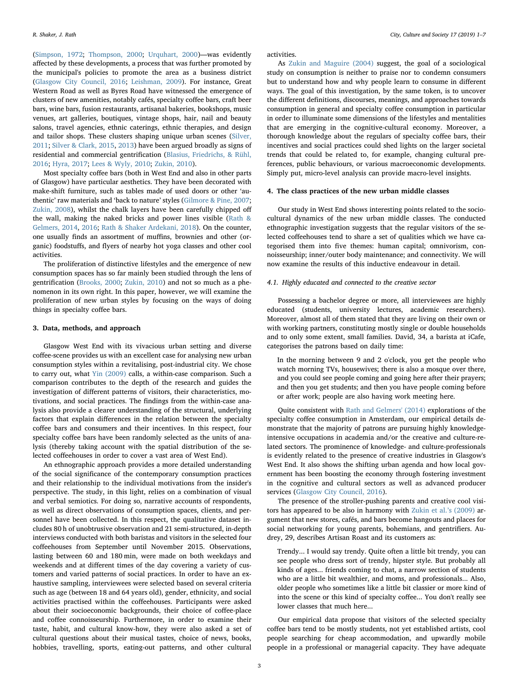([Simpson, 1972](#page-7-48); [Thompson, 2000](#page-7-49); [Urquhart, 2000](#page-7-50))—was evidently affected by these developments, a process that was further promoted by the municipal's policies to promote the area as a business district ([Glasgow City Council, 2016](#page-7-51); [Leishman, 2009\)](#page-7-52). For instance, Great Western Road as well as Byres Road have witnessed the emergence of clusters of new amenities, notably cafés, specialty coffee bars, craft beer bars, wine bars, fusion restaurants, artisanal bakeries, bookshops, music venues, art galleries, boutiques, vintage shops, hair, nail and beauty salons, travel agencies, ethnic caterings, ethnic therapies, and design and tailor shops. These clusters shaping unique urban scenes [\(Silver,](#page-7-53) [2011;](#page-7-53) [Silver & Clark, 2015](#page-7-54), [2013\)](#page-7-55) have been argued broadly as signs of residential and commercial gentrification [\(Blasius, Friedrichs, & Rühl,](#page-6-9) [2016;](#page-6-9) [Hyra, 2017;](#page-7-56) [Lees & Wyly, 2010;](#page-7-57) [Zukin, 2010\)](#page-7-2).

Most specialty coffee bars (both in West End and also in other parts of Glasgow) have particular aesthetics. They have been decorated with make-shift furniture, such as tables made of used doors or other 'authentic' raw materials and 'back to nature' styles [\(Gilmore & Pine, 2007](#page-7-58); [Zukin, 2008](#page-7-11)), whilst the chalk layers have been carefully chipped off the wall, making the naked bricks and power lines visible ([Rath &](#page-7-0) [Gelmers, 2014](#page-7-0), [2016;](#page-7-1) [Rath & Shaker Ardekani, 2018](#page-7-59)). On the counter, one usually finds an assortment of muffins, brownies and other (organic) foodstuffs, and flyers of nearby hot yoga classes and other cool activities.

The proliferation of distinctive lifestyles and the emergence of new consumption spaces has so far mainly been studied through the lens of gentrification [\(Brooks, 2000](#page-6-10); [Zukin, 2010\)](#page-7-2) and not so much as a phenomenon in its own right. In this paper, however, we will examine the proliferation of new urban styles by focusing on the ways of doing things in specialty coffee bars.

#### 3. Data, methods, and approach

Glasgow West End with its vivacious urban setting and diverse coffee-scene provides us with an excellent case for analysing new urban consumption styles within a revitalising, post-industrial city. We chose to carry out, what [Yin \(2009\)](#page-7-60) calls, a within-case comparison. Such a comparison contributes to the depth of the research and guides the investigation of different patterns of visitors, their characteristics, motivations, and social practices. The findings from the within-case analysis also provide a clearer understanding of the structural, underlying factors that explain differences in the relation between the specialty coffee bars and consumers and their incentives. In this respect, four specialty coffee bars have been randomly selected as the units of analysis (thereby taking account with the spatial distribution of the selected coffeehouses in order to cover a vast area of West End).

An ethnographic approach provides a more detailed understanding of the social significance of the contemporary consumption practices and their relationship to the individual motivations from the insider's perspective. The study, in this light, relies on a combination of visual and verbal semiotics. For doing so, narrative accounts of respondents, as well as direct observations of consumption spaces, clients, and personnel have been collected. In this respect, the qualitative dataset includes 80 h of unobtrusive observation and 21 semi-structured, in-depth interviews conducted with both baristas and visitors in the selected four coffeehouses from September until November 2015. Observations, lasting between 60 and 180 min, were made on both weekdays and weekends and at different times of the day covering a variety of customers and varied patterns of social practices. In order to have an exhaustive sampling, interviewees were selected based on several criteria such as age (between 18 and 64 years old), gender, ethnicity, and social activities practised within the coffeehouses. Participants were asked about their socioeconomic backgrounds, their choice of coffee-place and coffee connoisseurship. Furthermore, in order to examine their taste, habit, and cultural know-how, they were also asked a set of cultural questions about their musical tastes, choice of news, books, hobbies, travelling, sports, eating-out patterns, and other cultural activities.

As [Zukin and Maguire \(2004\)](#page-7-61) suggest, the goal of a sociological study on consumption is neither to praise nor to condemn consumers but to understand how and why people learn to consume in different ways. The goal of this investigation, by the same token, is to uncover the different definitions, discourses, meanings, and approaches towards consumption in general and specialty coffee consumption in particular in order to illuminate some dimensions of the lifestyles and mentalities that are emerging in the cognitive-cultural economy. Moreover, a thorough knowledge about the regulars of specialty coffee bars, their incentives and social practices could shed lights on the larger societal trends that could be related to, for example, changing cultural preferences, public behaviours, or various macroeconomic developments. Simply put, micro-level analysis can provide macro-level insights.

#### 4. The class practices of the new urban middle classes

Our study in West End shows interesting points related to the sociocultural dynamics of the new urban middle classes. The conducted ethnographic investigation suggests that the regular visitors of the selected coffeehouses tend to share a set of qualities which we have categorised them into five themes: human capital; omnivorism, connoisseurship; inner/outer body maintenance; and connectivity. We will now examine the results of this inductive endeavour in detail.

#### 4.1. Highly educated and connected to the creative sector

Possessing a bachelor degree or more, all interviewees are highly educated (students, university lectures, academic researchers). Moreover, almost all of them stated that they are living on their own or with working partners, constituting mostly single or double households and to only some extent, small families. David, 34, a barista at iCafe, categorises the patrons based on daily time:

In the morning between 9 and 2 o'clock, you get the people who watch morning TVs, housewives; there is also a mosque over there, and you could see people coming and going here after their prayers; and then you get students; and then you have people coming before or after work; people are also having work meeting here.

Quite consistent with [Rath and Gelmers' \(2014\)](#page-7-0) explorations of the specialty coffee consumption in Amsterdam, our empirical details demonstrate that the majority of patrons are pursuing highly knowledgeintensive occupations in academia and/or the creative and culture-related sectors. The prominence of knowledge- and culture-professionals is evidently related to the presence of creative industries in Glasgow's West End. It also shows the shifting urban agenda and how local government has been boosting the economy through fostering investment in the cognitive and cultural sectors as well as advanced producer services ([Glasgow City Council, 2016](#page-7-51)).

The presence of the stroller-pushing parents and creative cool visitors has appeared to be also in harmony with [Zukin et al.](#page-7-12)'s (2009) argument that new stores, cafés, and bars become hangouts and places for social networking for young parents, bohemians, and gentrifiers. Audrey, 29, describes Artisan Roast and its customers as:

Trendy... I would say trendy. Quite often a little bit trendy, you can see people who dress sort of trendy, hipster style. But probably all kinds of ages... friends coming to chat, a narrow section of students who are a little bit wealthier, and moms, and professionals... Also, older people who sometimes like a little bit classier or more kind of into the scene or this kind of specialty coffee... You don't really see lower classes that much here...

Our empirical data propose that visitors of the selected specialty coffee bars tend to be mostly students, not yet established artists, cool people searching for cheap accommodation, and upwardly mobile people in a professional or managerial capacity. They have adequate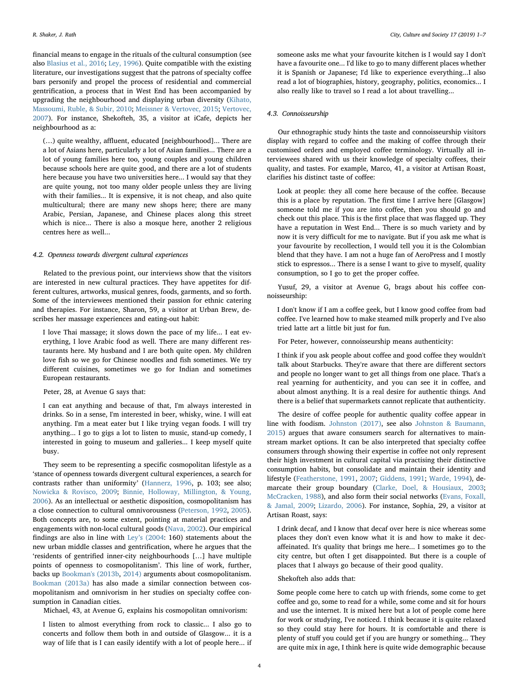financial means to engage in the rituals of the cultural consumption (see also [Blasius et al., 2016](#page-6-9); [Ley, 1996](#page-7-62)). Quite compatible with the existing literature, our investigations suggest that the patrons of specialty coffee bars personify and propel the process of residential and commercial gentrification, a process that in West End has been accompanied by upgrading the neighbourhood and displaying urban diversity [\(Kihato,](#page-7-63) [Massoumi, Ruble, & Subir, 2010](#page-7-63); [Meissner & Vertovec, 2015;](#page-7-64) [Vertovec,](#page-7-65) [2007\)](#page-7-65). For instance, Shekofteh, 35, a visitor at iCafe, depicts her neighbourhood as a:

(…) quite wealthy, affluent, educated [neighbourhood]... There are a lot of Asians here, particularly a lot of Asian families... There are a lot of young families here too, young couples and young children because schools here are quite good, and there are a lot of students here because you have two universities here... I would say that they are quite young, not too many older people unless they are living with their families... It is expensive, it is not cheap, and also quite multicultural; there are many new shops here; there are many Arabic, Persian, Japanese, and Chinese places along this street which is nice... There is also a mosque here, another 2 religious centres here as well...

#### 4.2. Openness towards divergent cultural experiences

Related to the previous point, our interviews show that the visitors are interested in new cultural practices. They have appetites for different cultures, artworks, musical genres, foods, garments, and so forth. Some of the interviewees mentioned their passion for ethnic catering and therapies. For instance, Sharon, 59, a visitor at Urban Brew, describes her massage experiences and eating-out habit:

I love Thai massage; it slows down the pace of my life... I eat everything, I love Arabic food as well. There are many different restaurants here. My husband and I are both quite open. My children love fish so we go for Chinese noodles and fish sometimes. We try different cuisines, sometimes we go for Indian and sometimes European restaurants.

Peter, 28, at Avenue G says that:

I can eat anything and because of that, I'm always interested in drinks. So in a sense, I'm interested in beer, whisky, wine. I will eat anything. I'm a meat eater but I like trying vegan foods. I will try anything... I go to gigs a lot to listen to music, stand-up comedy, I interested in going to museum and galleries... I keep myself quite busy.

They seem to be representing a specific cosmopolitan lifestyle as a 'stance of openness towards divergent cultural experiences, a search for contrasts rather than uniformity' ([Hannerz, 1996](#page-7-66), p. 103; see also; [Nowicka & Rovisco, 2009](#page-7-67); [Binnie, Holloway, Millington, & Young,](#page-6-11) [2006\)](#page-6-11). As an intellectual or aesthetic disposition, cosmopolitanism has a close connection to cultural omnivorousness ([Peterson, 1992,](#page-7-68) [2005](#page-7-69)). Both concepts are, to some extent, pointing at material practices and engagements with non-local cultural goods ([Nava, 2002\)](#page-7-70). Our empirical findings are also in line with Ley'[s \(2004](#page-7-71): 160) statements about the new urban middle classes and gentrification, where he argues that the 'residents of gentrified inner-city neighbourhoods […] have multiple points of openness to cosmopolitanism'. This line of work, further, backs up [Bookman's \(2013b,](#page-6-2) [2014\)](#page-6-0) arguments about cosmopolitanism. [Bookman \(2013a\)](#page-6-1) has also made a similar connection between cosmopolitanism and omnivorism in her studies on specialty coffee consumption in Canadian cities.

Michael, 43, at Avenue G, explains his cosmopolitan omnivorism:

I listen to almost everything from rock to classic... I also go to concerts and follow them both in and outside of Glasgow... it is a way of life that is I can easily identify with a lot of people here... if someone asks me what your favourite kitchen is I would say I don't have a favourite one... I'd like to go to many different places whether it is Spanish or Japanese; I'd like to experience everything...I also read a lot of biographies, history, geography, politics, economics... I also really like to travel so I read a lot about travelling...

#### 4.3. Connoisseurship

Our ethnographic study hints the taste and connoisseurship visitors display with regard to coffee and the making of coffee through their customised orders and employed coffee terminology. Virtually all interviewees shared with us their knowledge of specialty coffees, their quality, and tastes. For example, Marco, 41, a visitor at Artisan Roast, clarifies his distinct taste of coffee:

Look at people: they all come here because of the coffee. Because this is a place by reputation. The first time I arrive here [Glasgow] someone told me if you are into coffee, then you should go and check out this place. This is the first place that was flagged up. They have a reputation in West End... There is so much variety and by now it is very difficult for me to navigate. But if you ask me what is your favourite by recollection, I would tell you it is the Colombian blend that they have. I am not a huge fan of AeroPress and I mostly stick to espressos... There is a sense I want to give to myself, quality consumption, so I go to get the proper coffee.

Yusuf, 29, a visitor at Avenue G, brags about his coffee connoisseurship:

I don't know if I am a coffee geek, but I know good coffee from bad coffee. I've learned how to make steamed milk properly and I've also tried latte art a little bit just for fun.

For Peter, however, connoisseurship means authenticity:

I think if you ask people about coffee and good coffee they wouldn't talk about Starbucks. They're aware that there are different sectors and people no longer want to get all things from one place. That's a real yearning for authenticity, and you can see it in coffee, and about almost anything. It is a real desire for authentic things. And there is a belief that supermarkets cannot replicate that authenticity.

The desire of coffee people for authentic quality coffee appear in line with foodism. [Johnston \(2017\),](#page-7-45) see also [Johnston & Baumann,](#page-7-44) [2015\)](#page-7-44) argues that aware consumers search for alternatives to mainstream market options. It can be also interpreted that specialty coffee consumers through showing their expertise in coffee not only represent their high investment in cultural capital via practising their distinctive consumption habits, but consolidate and maintain their identity and lifestyle [\(Featherstone, 1991](#page-6-12), [2007](#page-6-13); [Giddens, 1991;](#page-7-72) [Warde, 1994\)](#page-7-73), demarcate their group boundary [\(Clarke, Doel, & Housiaux, 2003](#page-6-14); [McCracken, 1988\)](#page-7-74), and also form their social networks [\(Evans, Foxall,](#page-6-15) [& Jamal, 2009](#page-6-15); [Lizardo, 2006\)](#page-7-75). For instance, Sophia, 29, a visitor at Artisan Roast, says:

I drink decaf, and I know that decaf over here is nice whereas some places they don't even know what it is and how to make it decaffeinated. It's quality that brings me here... I sometimes go to the city centre, but often I get disappointed. But there is a couple of places that I always go because of their good quality.

#### Shekofteh also adds that:

Some people come here to catch up with friends, some come to get coffee and go, some to read for a while, some come and sit for hours and use the internet. It is mixed here but a lot of people come here for work or studying, I've noticed. I think because it is quite relaxed so they could stay here for hours. It is comfortable and there is plenty of stuff you could get if you are hungry or something... They are quite mix in age, I think here is quite wide demographic because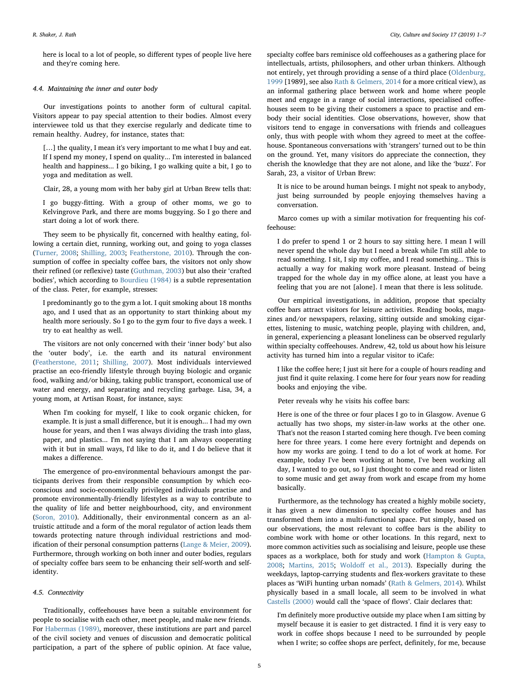here is local to a lot of people, so different types of people live here and they're coming here.

#### 4.4. Maintaining the inner and outer body

Our investigations points to another form of cultural capital. Visitors appear to pay special attention to their bodies. Almost every interviewee told us that they exercise regularly and dedicate time to remain healthy. Audrey, for instance, states that:

[...] the quality, I mean it's very important to me what I buy and eat. If I spend my money, I spend on quality... I'm interested in balanced health and happiness... I go biking, I go walking quite a bit, I go to yoga and meditation as well.

Clair, 28, a young mom with her baby girl at Urban Brew tells that:

I go buggy-fitting. With a group of other moms, we go to Kelvingrove Park, and there are moms buggying. So I go there and start doing a lot of work there.

They seem to be physically fit, concerned with healthy eating, following a certain diet, running, working out, and going to yoga classes ([Turner, 2008;](#page-7-76) [Shilling, 2003;](#page-7-77) [Featherstone, 2010\)](#page-6-16). Through the consumption of coffee in specialty coffee bars, the visitors not only show their refined (or reflexive) taste [\(Guthman, 2003](#page-7-78)) but also their 'crafted bodies', which according to [Bourdieu \(1984\)](#page-6-17) is a subtle representation of the class. Peter, for example, stresses:

I predominantly go to the gym a lot. I quit smoking about 18 months ago, and I used that as an opportunity to start thinking about my health more seriously. So I go to the gym four to five days a week. I try to eat healthy as well.

The visitors are not only concerned with their 'inner body' but also the 'outer body', i.e. the earth and its natural environment ([Featherstone, 2011](#page-6-18); [Shilling, 2007](#page-7-79)). Most individuals interviewed practise an eco-friendly lifestyle through buying biologic and organic food, walking and/or biking, taking public transport, economical use of water and energy, and separating and recycling garbage. Lisa, 34, a young mom, at Artisan Roast, for instance, says:

When I'm cooking for myself, I like to cook organic chicken, for example. It is just a small difference, but it is enough... I had my own house for years, and then I was always dividing the trash into glass, paper, and plastics... I'm not saying that I am always cooperating with it but in small ways, I'd like to do it, and I do believe that it makes a difference.

The emergence of pro-environmental behaviours amongst the participants derives from their responsible consumption by which ecoconscious and socio-economically privileged individuals practise and promote environmentally-friendly lifestyles as a way to contribute to the quality of life and better neighbourhood, city, and environment ([Soron, 2010\)](#page-7-80). Additionally, their environmental concern as an altruistic attitude and a form of the moral regulator of action leads them towards protecting nature through individual restrictions and modification of their personal consumption patterns [\(Lange & Meier, 2009](#page-7-39)). Furthermore, through working on both inner and outer bodies, regulars of specialty coffee bars seem to be enhancing their self-worth and selfidentity.

#### 4.5. Connectivity

Traditionally, coffeehouses have been a suitable environment for people to socialise with each other, meet people, and make new friends. For [Habermas \(1989\)](#page-7-81), moreover, these institutions are part and parcel of the civil society and venues of discussion and democratic political participation, a part of the sphere of public opinion. At face value,

specialty coffee bars reminisce old coffeehouses as a gathering place for intellectuals, artists, philosophers, and other urban thinkers. Although not entirely, yet through providing a sense of a third place [\(Oldenburg,](#page-7-82) [1999](#page-7-82) [1989], see also [Rath & Gelmers, 2014](#page-7-0) for a more critical view), as an informal gathering place between work and home where people meet and engage in a range of social interactions, specialised coffeehouses seem to be giving their customers a space to practise and embody their social identities. Close observations, however, show that visitors tend to engage in conversations with friends and colleagues only, thus with people with whom they agreed to meet at the coffeehouse. Spontaneous conversations with 'strangers' turned out to be thin on the ground. Yet, many visitors do appreciate the connection, they cherish the knowledge that they are not alone, and like the 'buzz'. For Sarah, 23, a visitor of Urban Brew:

It is nice to be around human beings. I might not speak to anybody, just being surrounded by people enjoying themselves having a conversation.

Marco comes up with a similar motivation for frequenting his coffeehouse:

I do prefer to spend 1 or 2 hours to say sitting here. I mean I will never spend the whole day but I need a break while I'm still able to read something. I sit, I sip my coffee, and I read something... This is actually a way for making work more pleasant. Instead of being trapped for the whole day in my office alone, at least you have a feeling that you are not [alone]. I mean that there is less solitude.

Our empirical investigations, in addition, propose that specialty coffee bars attract visitors for leisure activities. Reading books, magazines and/or newspapers, relaxing, sitting outside and smoking cigarettes, listening to music, watching people, playing with children, and, in general, experiencing a pleasant loneliness can be observed regularly within specialty coffeehouses. Andrew, 42, told us about how his leisure activity has turned him into a regular visitor to iCafe:

I like the coffee here; I just sit here for a couple of hours reading and just find it quite relaxing. I come here for four years now for reading books and enjoying the vibe.

Peter reveals why he visits his coffee bars:

Here is one of the three or four places I go to in Glasgow. Avenue G actually has two shops, my sister-in-law works at the other one. That's not the reason I started coming here though. I've been coming here for three years. I come here every fortnight and depends on how my works are going. I tend to do a lot of work at home. For example, today I've been working at home, I've been working all day, I wanted to go out, so I just thought to come and read or listen to some music and get away from work and escape from my home basically.

Furthermore, as the technology has created a highly mobile society, it has given a new dimension to specialty coffee houses and has transformed them into a multi-functional space. Put simply, based on our observations, the most relevant to coffee bars is the ability to combine work with home or other locations. In this regard, next to more common activities such as socialising and leisure, people use these spaces as a workplace, both for study and work ([Hampton & Gupta,](#page-7-83) [2008;](#page-7-83) [Martins, 2015](#page-7-17); Woldoff [et al., 2013](#page-7-25)). Especially during the weekdays, laptop-carrying students and flex-workers gravitate to these places as 'WiFi hunting urban nomads' ([Rath & Gelmers, 2014](#page-7-0)). Whilst physically based in a small locale, all seem to be involved in what [Castells \(2000\)](#page-6-19) would call the 'space of flows'. Clair declares that:

I'm definitely more productive outside my place when I am sitting by myself because it is easier to get distracted. I find it is very easy to work in coffee shops because I need to be surrounded by people when I write; so coffee shops are perfect, definitely, for me, because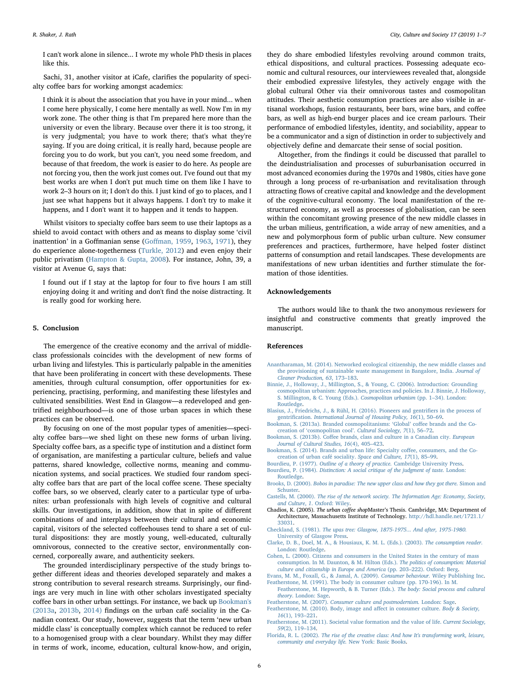I can't work alone in silence... I wrote my whole PhD thesis in places like this.

Sachi, 31, another visitor at iCafe, clarifies the popularity of specialty coffee bars for working amongst academics:

I think it is about the association that you have in your mind... when I come here physically, I come here mentally as well. Now I'm in my work zone. The other thing is that I'm prepared here more than the university or even the library. Because over there it is too strong, it is very judgmental; you have to work there; that's what they're saying. If you are doing critical, it is really hard, because people are forcing you to do work, but you can't, you need some freedom, and because of that freedom, the work is easier to do here. As people are not forcing you, then the work just comes out. I've found out that my best works are when I don't put much time on them like I have to work 2–3 hours on it; I don't do this. I just kind of go to places, and I just see what happens but it always happens. I don't try to make it happens, and I don't want it to happen and it tends to happen.

Whilst visitors to specialty coffee bars seem to use their laptops as a shield to avoid contact with others and as means to display some 'civil inattention' in a Goffmanian sense (Goff[man, 1959](#page-7-84), [1963](#page-7-85), [1971](#page-7-86)), they do experience alone-togetherness [\(Turkle, 2012](#page-7-87)) and even enjoy their public privatism ([Hampton & Gupta, 2008\)](#page-7-83). For instance, John, 39, a visitor at Avenue G, says that:

I found out if I stay at the laptop for four to five hours I am still enjoying doing it and writing and don't find the noise distracting. It is really good for working here.

#### 5. Conclusion

The emergence of the creative economy and the arrival of middleclass professionals coincides with the development of new forms of urban living and lifestyles. This is particularly palpable in the amenities that have been proliferating in concert with these developments. These amenities, through cultural consumption, offer opportunities for experiencing, practising, performing, and manifesting these lifestyles and cultivated sensibilities. West End in Glasgow—a redeveloped and gentrified neighbourhood—is one of those urban spaces in which these practices can be observed.

By focusing on one of the most popular types of amenities—specialty coffee bars—we shed light on these new forms of urban living. Specialty coffee bars, as a specific type of institution and a distinct form of organisation, are manifesting a particular culture, beliefs and value patterns, shared knowledge, collective norms, meaning and communication systems, and social practices. We studied four random specialty coffee bars that are part of the local coffee scene. These specialty coffee bars, so we observed, clearly cater to a particular type of urbanites: urban professionals with high levels of cognitive and cultural skills. Our investigations, in addition, show that in spite of different combinations of and interplays between their cultural and economic capital, visitors of the selected coffeehouses tend to share a set of cultural dispositions: they are mostly young, well-educated, culturally omnivorous, connected to the creative sector, environmentally concerned, corporeally aware, and authenticity seekers.

The grounded interdisciplinary perspective of the study brings together different ideas and theories developed separately and makes a strong contribution to several research streams. Surprisingly, our findings are very much in line with other scholars investigated specialty coffee bars in other urban settings. For instance, we back up [Bookman's](#page-6-1) [\(2013a,](#page-6-1) [2013b](#page-6-2), [2014\)](#page-6-0) findings on the urban café sociality in the Canadian context. Our study, however, suggests that the term 'new urban middle class' is conceptually complex which cannot be reduced to refer to a homogenised group with a clear boundary. Whilst they may differ in terms of work, income, education, cultural know-how, and origin,

they do share embodied lifestyles revolving around common traits, ethical dispositions, and cultural practices. Possessing adequate economic and cultural resources, our interviewees revealed that, alongside their embodied expressive lifestyles, they actively engage with the global cultural Other via their omnivorous tastes and cosmopolitan attitudes. Their aesthetic consumption practices are also visible in artisanal workshops, fusion restaurants, beer bars, wine bars, and coffee bars, as well as high-end burger places and ice cream parlours. Their performance of embodied lifestyles, identity, and sociability, appear to be a communicator and a sign of distinction in order to subjectively and objectively define and demarcate their sense of social position.

Altogether, from the findings it could be discussed that parallel to the deindustrialisation and processes of suburbanisation occurred in most advanced economies during the 1970s and 1980s, cities have gone through a long process of re-urbanisation and revitalisation through attracting flows of creative capital and knowledge and the development of the cognitive-cultural economy. The local manifestation of the restructured economy, as well as processes of globalisation, can be seen within the concomitant growing presence of the new middle classes in the urban milieus, gentrification, a wide array of new amenities, and a new and polymorphous form of public urban culture. New consumer preferences and practices, furthermore, have helped foster distinct patterns of consumption and retail landscapes. These developments are manifestations of new urban identities and further stimulate the formation of those identities.

#### Acknowledgements

The authors would like to thank the two anonymous reviewers for insightful and constructive comments that greatly improved the manuscript.

#### References

- <span id="page-6-6"></span>[Anantharaman, M. \(2014\). Networked ecological citizenship, the new middle classes and](http://refhub.elsevier.com/S1877-9166(18)30053-5/sref1) [the provisioning of sustainable waste management in Bangalore, India.](http://refhub.elsevier.com/S1877-9166(18)30053-5/sref1) Journal of Cleaner Production 63, 173–183 ner Production, 63, 173–183.
- <span id="page-6-11"></span>[Binnie, J., Holloway, J., Millington, S., & Young, C. \(2006\). Introduction: Grounding](http://refhub.elsevier.com/S1877-9166(18)30053-5/sref2) [cosmopolitan urbanism: Approaches, practices and policies. In J. Binnie, J. Holloway,](http://refhub.elsevier.com/S1877-9166(18)30053-5/sref2) [S. Millington, & C. Young \(Eds.\).](http://refhub.elsevier.com/S1877-9166(18)30053-5/sref2) Cosmopolitan urbanism (pp. 1–34). London: [Routledge](http://refhub.elsevier.com/S1877-9166(18)30053-5/sref2).
- <span id="page-6-9"></span>[Blasius, J., Friedrichs, J., & Rühl, H. \(2016\). Pioneers and gentri](http://refhub.elsevier.com/S1877-9166(18)30053-5/sref3)fiers in the process of gentrification. [International Journal of Housing Policy, 16](http://refhub.elsevier.com/S1877-9166(18)30053-5/sref3)(1), 50–69.
- <span id="page-6-1"></span>[Bookman, S. \(2013a\). Branded cosmopolitanisms:](http://refhub.elsevier.com/S1877-9166(18)30053-5/sref4) 'Global' coffee brands and the Cocreation of 'cosmopolitan cool'. [Cultural Sociology, 7](http://refhub.elsevier.com/S1877-9166(18)30053-5/sref4)(1), 56–72.
- <span id="page-6-2"></span>Bookman, S. (2013b). Coff[ee brands, class and culture in a Canadian city.](http://refhub.elsevier.com/S1877-9166(18)30053-5/sref5) European [Journal of Cultural Studies, 16](http://refhub.elsevier.com/S1877-9166(18)30053-5/sref5)(4), 405–423.
- <span id="page-6-0"></span>[Bookman, S. \(2014\). Brands and urban life: Specialty co](http://refhub.elsevier.com/S1877-9166(18)30053-5/sref6)ffee, consumers, and the Co[creation of urban café sociality.](http://refhub.elsevier.com/S1877-9166(18)30053-5/sref6) Space and Culture, 17(1), 85–99.
- <span id="page-6-7"></span>Bourdieu, P. (1977). [Outline of a theory of practice.](http://refhub.elsevier.com/S1877-9166(18)30053-5/sref7) Cambridge University Press.
- <span id="page-6-17"></span>Bourdieu, P. (1984). [Distinction: A social critique of the judgment of taste.](http://refhub.elsevier.com/S1877-9166(18)30053-5/sref8) London: [Routledge](http://refhub.elsevier.com/S1877-9166(18)30053-5/sref8).
- <span id="page-6-10"></span>Brooks, D. (2000). [Bobos in paradise: The new upper class and how they got there.](http://refhub.elsevier.com/S1877-9166(18)30053-5/sref9) Simon and [Schuster](http://refhub.elsevier.com/S1877-9166(18)30053-5/sref9).
- <span id="page-6-19"></span>Castells, M. (2000). [The rise of the network society. The Information Age: Economy, Society,](http://refhub.elsevier.com/S1877-9166(18)30053-5/sref10) and Culture, 1[. Oxford: Wiley](http://refhub.elsevier.com/S1877-9166(18)30053-5/sref10).
- <span id="page-6-3"></span>Chadios, K. (2005). The urban coffee shopMaster's Thesis. Cambridge, MA: Department of Architecture, Massachusetts Institute of Technology. [http://hdl.handle.net/1721.1/](http://hdl.handle.net/1721.1/33031) [33031.](http://hdl.handle.net/1721.1/33031)
- <span id="page-6-4"></span>Checkland, S. (1981). [The upas tree: Glasgow, 1875-1975... And after, 1975-1980.](http://refhub.elsevier.com/S1877-9166(18)30053-5/sref12) [University of Glasgow Press.](http://refhub.elsevier.com/S1877-9166(18)30053-5/sref12)
- <span id="page-6-14"></span>[Clarke, D. B., Doel, M. A., & Housiaux, K. M. L. \(Eds.\). \(2003\).](http://refhub.elsevier.com/S1877-9166(18)30053-5/sref13) The consumption reader. London: [Routledge](http://refhub.elsevier.com/S1877-9166(18)30053-5/sref13).
- <span id="page-6-8"></span>[Cohen, L. \(2000\). Citizens and consumers in the United States in the century of mass](http://refhub.elsevier.com/S1877-9166(18)30053-5/sref14) [consumption. In M. Daunton, & M. Hilton \(Eds.\).](http://refhub.elsevier.com/S1877-9166(18)30053-5/sref14) The politics of consumption: Material [culture and citizenship in Europe and America](http://refhub.elsevier.com/S1877-9166(18)30053-5/sref14) (pp. 203–222). Oxford: Berg.
- <span id="page-6-15"></span>[Evans, M. M., Foxall, G., & Jamal, A. \(2009\).](http://refhub.elsevier.com/S1877-9166(18)30053-5/sref15) Consumer behaviour. Wiley Publishing Inc.
- <span id="page-6-12"></span>[Featherstone, M. \(1991\). The body in consumer culture \(pp. 170-196\). In M.](http://refhub.elsevier.com/S1877-9166(18)30053-5/sref16) [Featherstone, M. Hepworth, & B. Turner \(Eds.\).](http://refhub.elsevier.com/S1877-9166(18)30053-5/sref16) The body: Social process and cultural theory[. London: Sage](http://refhub.elsevier.com/S1877-9166(18)30053-5/sref16).
- <span id="page-6-13"></span>Featherstone, M. (2007). [Consumer culture and postmodernism.](http://refhub.elsevier.com/S1877-9166(18)30053-5/sref17) London: Sage.
- <span id="page-6-16"></span>[Featherstone, M. \(2010\). Body, image and a](http://refhub.elsevier.com/S1877-9166(18)30053-5/sref107)ffect in consumer culture. Body & Society, 16[\(1\), 193](http://refhub.elsevier.com/S1877-9166(18)30053-5/sref107)–221.
- <span id="page-6-18"></span>[Featherstone, M. \(2011\). Societal value formation and the value of life.](http://refhub.elsevier.com/S1877-9166(18)30053-5/sref18) Current Sociology, 59[\(2\), 119](http://refhub.elsevier.com/S1877-9166(18)30053-5/sref18)–134.
- <span id="page-6-5"></span>Florida, R. L. (2002). [The rise of the creative class: And how It's transforming work, leisure,](http://refhub.elsevier.com/S1877-9166(18)30053-5/sref19) [community and everyday life.](http://refhub.elsevier.com/S1877-9166(18)30053-5/sref19) New York: Basic Books.